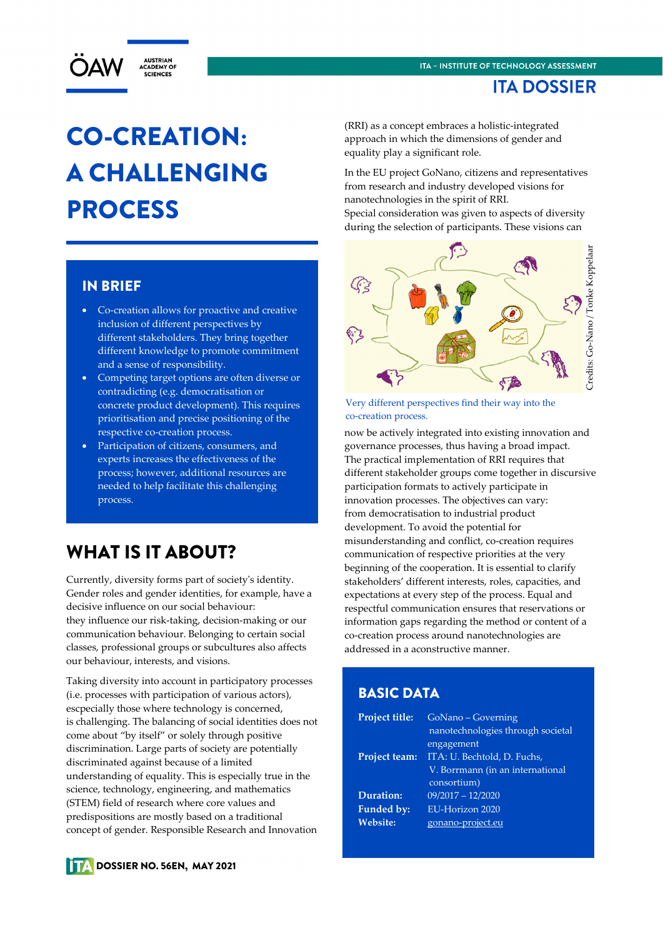

# CO-CREATION: A CHALLENGING PROCESS

#### IN BRIEF

- Co-creation allows for proactive and creative inclusion of different perspectives by different stakeholders. They bring together different knowledge to promote commitment and a sense of responsibility.
- Competing target options are often diverse or contradicting (e.g. democratisation or concrete product development). This requires prioritisation and precise positioning of the respective co-creation process.
- Participation of citizens, consumers, and experts increases the effectiveness of the process; however, additional resources are needed to help facilitate this challenging process.

## WHAT IS IT ABOUT?

Currently, diversity forms part of society's identity. Gender roles and gender identities, for example, have a decisive influence on our social behaviour: they influence our risk-taking, decision-making or our communication behaviour. Belonging to certain social classes, professional groups or subcultures also affects our behaviour, interests, and visions.

Taking diversity into account in participatory processes (i.e. processes with participation of various actors), escpecially those where technology is concerned, is challenging. The balancing of social identities does not come about "by itself" or solely through positive discrimination. Large parts of society are potentially discriminated against because of a limited understanding of equality. This is especially true in the science, technology, engineering, and mathematics (STEM) field of research where core values and predispositions are mostly based on a traditional concept of gender. Responsible Research and Innovation

(RRI) as a concept embraces a holistic-integrated approach in which the dimensions of gender and equality play a significant role.

In the EU project GoNano, citizens and representatives from research and industry developed visions for nanotechnologies in the spirit of RRI.

Special consideration was given to aspects of diversity during the selection of participants. These visions can



Very different perspectives find their way into the co-creation process.

now be actively integrated into existing innovation and governance processes, thus having a broad impact. The practical implementation of RRI requires that different stakeholder groups come together in discursive participation formats to actively participate in innovation processes. The objectives can vary: from democratisation to industrial product development. To avoid the potential for misunderstanding and conflict, co-creation requires communication of respective priorities at the very beginning of the cooperation. It is essential to clarify stakeholders' different interests, roles, capacities, and expectations at every step of the process. Equal and respectful communication ensures that reservations or information gaps regarding the method or content of a co-creation process around nanotechnologies are addressed in a aconstructive manner.

#### BASIC DATA

| <b>Project title:</b><br><b>Project team:</b> | GoNano - Governing<br>nanotechnologies through societal<br>engagement<br>ITA: U. Bechtold, D. Fuchs,<br>V. Borrmann (in an international<br>consortium) |
|-----------------------------------------------|---------------------------------------------------------------------------------------------------------------------------------------------------------|
| Duration:                                     | $09/2017 - 12/2020$                                                                                                                                     |
| Funded by:                                    | EU-Horizon 2020                                                                                                                                         |
| <b>Website:</b>                               | gonano-project.eu                                                                                                                                       |